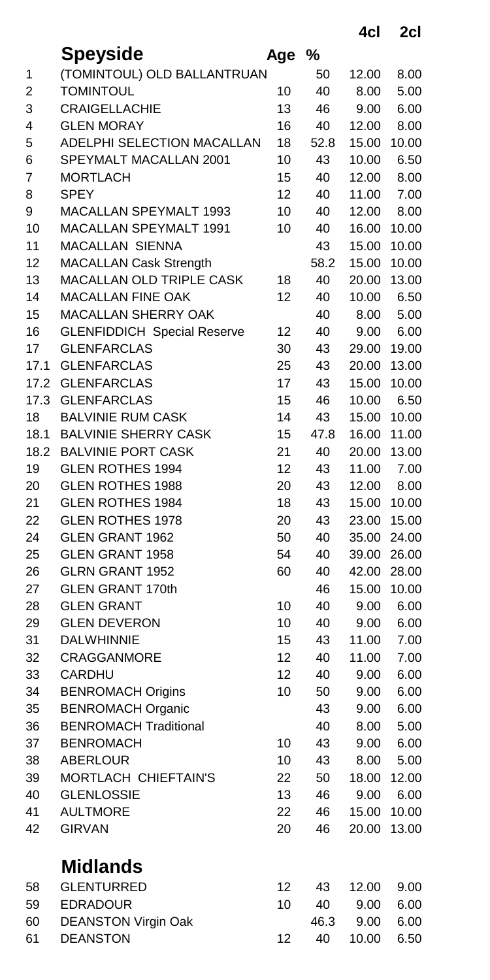**4cl 2cl**

|      | Speyside                           | Age | %    |       |       |
|------|------------------------------------|-----|------|-------|-------|
| 1    | (TOMINTOUL) OLD BALLANTRUAN        |     | 50   | 12.00 | 8.00  |
| 2    | <b>TOMINTOUL</b>                   | 10  | 40   | 8.00  | 5.00  |
| 3    | <b>CRAIGELLACHIE</b>               | 13  | 46   | 9.00  | 6.00  |
| 4    | <b>GLEN MORAY</b>                  | 16  | 40   | 12.00 | 8.00  |
| 5    | ADELPHI SELECTION MACALLAN         | 18  | 52.8 | 15.00 | 10.00 |
| 6    | SPEYMALT MACALLAN 2001             | 10  | 43   | 10.00 | 6.50  |
| 7    | <b>MORTLACH</b>                    | 15  | 40   | 12.00 | 8.00  |
| 8    | <b>SPEY</b>                        | 12  | 40   | 11.00 | 7.00  |
| 9    | <b>MACALLAN SPEYMALT 1993</b>      | 10  | 40   | 12.00 | 8.00  |
| 10   | MACALLAN SPEYMALT 1991             | 10  | 40   | 16.00 | 10.00 |
| 11   | MACALLAN SIENNA                    |     | 43   | 15.00 | 10.00 |
| 12   | <b>MACALLAN Cask Strength</b>      |     | 58.2 | 15.00 | 10.00 |
| 13   | MACALLAN OLD TRIPLE CASK           | 18  | 40   | 20.00 | 13.00 |
| 14   | <b>MACALLAN FINE OAK</b>           | 12  | 40   | 10.00 | 6.50  |
| 15   | <b>MACALLAN SHERRY OAK</b>         |     | 40   | 8.00  | 5.00  |
| 16   | <b>GLENFIDDICH Special Reserve</b> | 12  | 40   | 9.00  | 6.00  |
| 17   | <b>GLENFARCLAS</b>                 | 30  | 43   | 29.00 | 19.00 |
| 17.1 | <b>GLENFARCLAS</b>                 | 25  | 43   | 20.00 | 13.00 |
| 17.2 | <b>GLENFARCLAS</b>                 | 17  | 43   | 15.00 | 10.00 |
| 17.3 | <b>GLENFARCLAS</b>                 | 15  | 46   | 10.00 | 6.50  |
| 18   | <b>BALVINIE RUM CASK</b>           | 14  | 43   | 15.00 | 10.00 |
| 18.1 | <b>BALVINIE SHERRY CASK</b>        | 15  | 47.8 | 16.00 | 11.00 |
| 18.2 | <b>BALVINIE PORT CASK</b>          | 21  | 40   | 20.00 | 13.00 |
| 19   | <b>GLEN ROTHES 1994</b>            | 12  | 43   | 11.00 | 7.00  |
| 20   | <b>GLEN ROTHES 1988</b>            | 20  | 43   | 12.00 | 8.00  |
| 21   | <b>GLEN ROTHES 1984</b>            | 18  | 43   | 15.00 | 10.00 |
| 22   | <b>GLEN ROTHES 1978</b>            | 20  | 43   | 23.00 | 15.00 |
| 24   | <b>GLEN GRANT 1962</b>             | 50  | 40   | 35.00 | 24.00 |
| 25   | <b>GLEN GRANT 1958</b>             | 54  | 40   | 39.00 | 26.00 |
| 26   | <b>GLRN GRANT 1952</b>             | 60  | 40   | 42.00 | 28.00 |
| 27   | <b>GLEN GRANT 170th</b>            |     | 46   | 15.00 | 10.00 |
| 28   | <b>GLEN GRANT</b>                  | 10  | 40   | 9.00  | 6.00  |
| 29   | <b>GLEN DEVERON</b>                | 10  | 40   | 9.00  | 6.00  |
| 31   | DALWHINNIE                         | 15  | 43   | 11.00 | 7.00  |
| 32   | <b>CRAGGANMORE</b>                 | 12  | 40   | 11.00 | 7.00  |
| 33   | <b>CARDHU</b>                      | 12  | 40   | 9.00  | 6.00  |
| 34   | <b>BENROMACH Origins</b>           | 10  | 50   | 9.00  | 6.00  |
| 35   | <b>BENROMACH Organic</b>           |     | 43   | 9.00  | 6.00  |
| 36   | <b>BENROMACH Traditional</b>       |     | 40   | 8.00  | 5.00  |
| 37   | <b>BENROMACH</b>                   | 10  | 43   | 9.00  | 6.00  |
| 38   | <b>ABERLOUR</b>                    | 10  | 43   | 8.00  | 5.00  |
| 39   | MORTLACH CHIEFTAIN'S               | 22  | 50   | 18.00 | 12.00 |
| 40   | <b>GLENLOSSIE</b>                  | 13  | 46   | 9.00  | 6.00  |
| 41   | <b>AULTMORE</b>                    | 22  | 46   | 15.00 | 10.00 |
| 42   | <b>GIRVAN</b>                      | 20  | 46   | 20.00 | 13.00 |
|      | <b>Midlands</b>                    |     |      |       |       |
| 58   | <b>GLENTURRED</b>                  | 12  | 43   | 12.00 | 9.00  |
| 59   | <b>EDRADOUR</b>                    | 10  | 40   | 9.00  | 6.00  |
| 60   | <b>DEANSTON Virgin Oak</b>         |     | 46.3 | 9.00  | 6.00  |
| 61   | <b>DEANSTON</b>                    | 12  | 40   | 10.00 | 6.50  |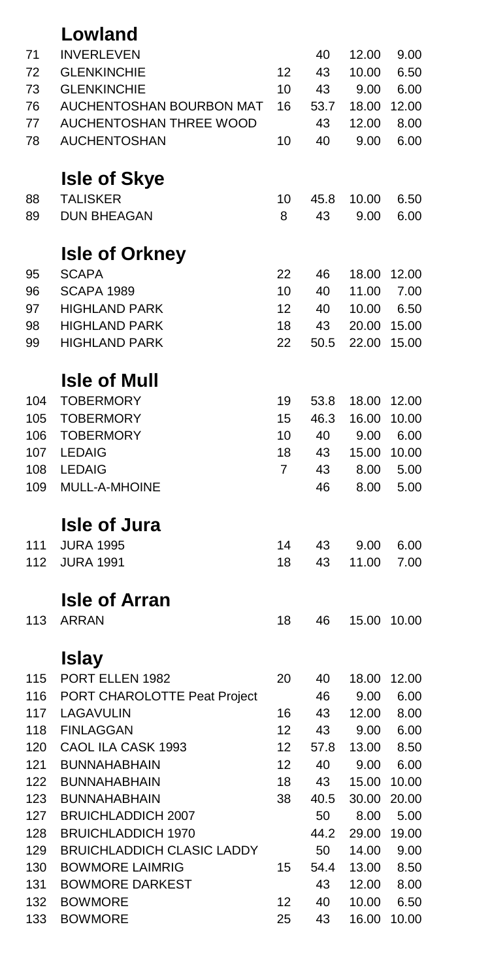| 71  | <b>INVERLEVEN</b>                      |                   | 40   | 12.00 | 9.00  |
|-----|----------------------------------------|-------------------|------|-------|-------|
| 72  | <b>GLENKINCHIE</b>                     | 12                | 43   | 10.00 | 6.50  |
| 73  | <b>GLENKINCHIE</b>                     | 10                | 43   | 9.00  | 6.00  |
| 76  | AUCHENTOSHAN BOURBON MAT               | 16                | 53.7 | 18.00 | 12.00 |
| 77  | AUCHENTOSHAN THREE WOOD                |                   | 43   | 12.00 | 8.00  |
| 78  | <b>AUCHENTOSHAN</b>                    | 10                | 40   | 9.00  | 6.00  |
|     |                                        |                   |      |       |       |
| 88  | <b>Isle of Skye</b><br><b>TALISKER</b> | 10                | 45.8 | 10.00 | 6.50  |
| 89  | <b>DUN BHEAGAN</b>                     | 8                 | 43   | 9.00  | 6.00  |
|     |                                        |                   |      |       |       |
|     | <b>Isle of Orkney</b>                  |                   |      |       |       |
| 95  | <b>SCAPA</b>                           | 22                | 46   | 18.00 | 12.00 |
| 96  | <b>SCAPA 1989</b>                      | 10                | 40   | 11.00 | 7.00  |
| 97  | <b>HIGHLAND PARK</b>                   | 12                | 40   | 10.00 | 6.50  |
| 98  | <b>HIGHLAND PARK</b>                   | 18                | 43   | 20.00 | 15.00 |
| 99  | <b>HIGHLAND PARK</b>                   | 22                | 50.5 | 22.00 | 15.00 |
|     | <b>Isle of Mull</b>                    |                   |      |       |       |
| 104 | <b>TOBERMORY</b>                       | 19                | 53.8 | 18.00 | 12.00 |
| 105 | <b>TOBERMORY</b>                       | 15                | 46.3 | 16.00 | 10.00 |
| 106 | <b>TOBERMORY</b>                       | 10                | 40   | 9.00  | 6.00  |
| 107 | <b>LEDAIG</b>                          | 18                | 43   | 15.00 | 10.00 |
| 108 | <b>LEDAIG</b>                          | $\overline{7}$    | 43   | 8.00  | 5.00  |
| 109 | MULL-A-MHOINE                          |                   | 46   | 8.00  | 5.00  |
|     | <b>Isle of Jura</b>                    |                   |      |       |       |
| 111 | <b>JURA 1995</b>                       | 14                | 43   | 9.00  | 6.00  |
| 112 | <b>JURA 1991</b>                       | 18                | 43   | 11.00 | 7.00  |
|     |                                        |                   |      |       |       |
|     | <b>Isle of Arran</b>                   |                   |      |       |       |
| 113 | <b>ARRAN</b>                           | 18                | 46   | 15.00 | 10.00 |
|     | <b>Islay</b>                           |                   |      |       |       |
| 115 | PORT ELLEN 1982                        | 20                | 40   | 18.00 | 12.00 |
| 116 | PORT CHAROLOTTE Peat Project           |                   | 46   | 9.00  | 6.00  |
| 117 | LAGAVULIN                              | 16                | 43   | 12.00 | 8.00  |
| 118 | <b>FINLAGGAN</b>                       | 12                | 43   | 9.00  | 6.00  |
| 120 | CAOL ILA CASK 1993                     | $12 \overline{ }$ | 57.8 | 13.00 | 8.50  |
| 121 | <b>BUNNAHABHAIN</b>                    | 12                | 40   | 9.00  | 6.00  |
| 122 | <b>BUNNAHABHAIN</b>                    | 18                | 43   | 15.00 | 10.00 |
| 123 | <b>BUNNAHABHAIN</b>                    | 38                | 40.5 | 30.00 | 20.00 |
| 127 | <b>BRUICHLADDICH 2007</b>              |                   | 50   | 8.00  | 5.00  |
| 128 | <b>BRUICHLADDICH 1970</b>              |                   | 44.2 | 29.00 | 19.00 |
| 129 | <b>BRUICHLADDICH CLASIC LADDY</b>      |                   | 50   | 14.00 | 9.00  |
| 130 | <b>BOWMORE LAIMRIG</b>                 | 15                | 54.4 | 13.00 | 8.50  |
| 131 | <b>BOWMORE DARKEST</b>                 |                   | 43   | 12.00 | 8.00  |
| 132 | <b>BOWMORE</b>                         | 12                | 40   | 10.00 | 6.50  |
| 133 | <b>BOWMORE</b>                         | 25                | 43   | 16.00 | 10.00 |
|     |                                        |                   |      |       |       |

**Lowland**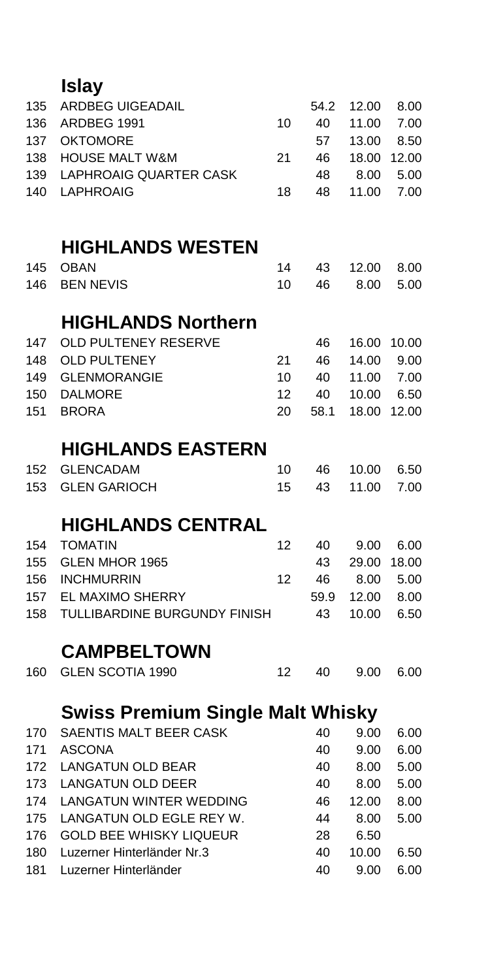| 135 | <b>ARDBEG UIGEADAIL</b>                 |    | 54.2 | 12.00 | 8.00  |
|-----|-----------------------------------------|----|------|-------|-------|
| 136 | ARDBEG 1991                             | 10 | 40   | 11.00 | 7.00  |
| 137 | <b>OKTOMORE</b>                         |    | 57   | 13.00 | 8.50  |
| 138 | <b>HOUSE MALT W&amp;M</b>               | 21 | 46   | 18.00 | 12.00 |
| 139 | <b>LAPHROAIG QUARTER CASK</b>           |    | 48   | 8.00  | 5.00  |
| 140 | <b>LAPHROAIG</b>                        | 18 | 48   | 11.00 | 7.00  |
|     | <b>HIGHLANDS WESTEN</b>                 |    |      |       |       |
| 145 | <b>OBAN</b>                             | 14 | 43   | 12.00 | 8.00  |
| 146 | <b>BEN NEVIS</b>                        | 10 | 46   | 8.00  | 5.00  |
|     | <b>HIGHLANDS Northern</b>               |    |      |       |       |
| 147 | OLD PULTENEY RESERVE                    |    | 46   | 16.00 | 10.00 |
| 148 | <b>OLD PULTENEY</b>                     | 21 | 46   | 14.00 | 9.00  |
| 149 | <b>GLENMORANGIE</b>                     | 10 | 40   | 11.00 | 7.00  |
| 150 | <b>DALMORE</b>                          | 12 | 40   | 10.00 | 6.50  |
| 151 | <b>BRORA</b>                            | 20 | 58.1 | 18.00 | 12.00 |
|     | <b>HIGHLANDS EASTERN</b>                |    |      |       |       |
| 152 | <b>GLENCADAM</b>                        | 10 | 46   | 10.00 | 6.50  |
| 153 | <b>GLEN GARIOCH</b>                     | 15 | 43   | 11.00 | 7.00  |
|     | <b>HIGHLANDS CENTRAL</b>                |    |      |       |       |
| 154 | <b>TOMATIN</b>                          | 12 | 40   | 9.00  | 6.00  |
| 155 | GLEN MHOR 1965                          |    | 43   | 29.00 | 18.00 |
| 156 | <b>INCHMURRIN</b>                       | 12 | 46   | 8.00  | 5.00  |
| 157 | EL MAXIMO SHERRY                        |    | 59.9 | 12.00 | 8.00  |
| 158 | TULLIBARDINE BURGUNDY FINISH            |    | 43   | 10.00 | 6.50  |
|     | <b>CAMPBELTOWN</b>                      |    |      |       |       |
| 160 | <b>GLEN SCOTIA 1990</b>                 | 12 | 40   | 9.00  | 6.00  |
|     | <b>Swiss Premium Single Malt Whisky</b> |    |      |       |       |
| 170 | SAENTIS MALT BEER CASK                  |    | 40   | 9.00  | 6.00  |
| 171 | <b>ASCONA</b>                           |    | 40   | 9.00  | 6.00  |
| 172 | <b>LANGATUN OLD BEAR</b>                |    | 40   | 8.00  | 5.00  |
| 173 | <b>LANGATUN OLD DEER</b>                |    | 40   | 8.00  | 5.00  |
| 174 | <b>LANGATUN WINTER WEDDING</b>          |    | 46   | 12.00 | 8.00  |
| 175 | LANGATUN OLD EGLE REY W.                |    | 44   | 8.00  | 5.00  |
| 176 | <b>GOLD BEE WHISKY LIQUEUR</b>          |    | 28   | 6.50  |       |
| 180 | Luzerner Hinterländer Nr.3              |    | 40   | 10.00 | 6.50  |
| 181 | Luzerner Hinterländer                   |    | 40   | 9.00  | 6.00  |